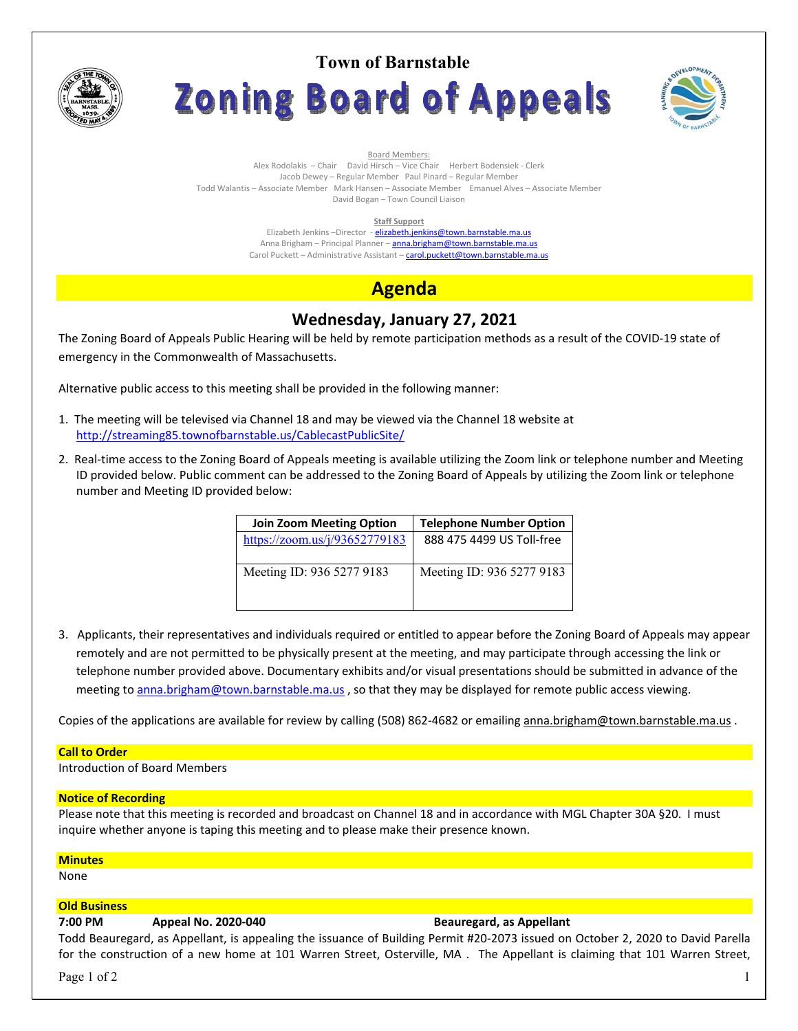

**Town of Barnstable Zoning Board of Appeals** 



Board Members: Alex Rodolakis – Chair David Hirsch – Vice Chair Herbert Bodensiek - Clerk Jacob Dewey – Regular Member Paul Pinard – Regular Member Todd Walantis – Associate Member Mark Hansen – Associate Member Emanuel Alves – Associate Member David Bogan – Town Council Liaison

#### **Staff Support**

Elizabeth Jenkins -Director - elizabeth.jenkins@town.barnstable.ma.us Anna Brigham – Principal Planner – **anna.brigham@town.barnstable.ma.us** Carol Puckett – Administrative Assistant – carol.puckett@town.barnstable.ma.us

# **Agenda**

# **Wednesday, January 27, 2021**

The Zoning Board of Appeals Public Hearing will be held by remote participation methods as a result of the COVID-19 state of emergency in the Commonwealth of Massachusetts.

Alternative public access to this meeting shall be provided in the following manner:

- 1. The meeting will be televised via Channel 18 and may be viewed via the Channel 18 website at http://streaming85.townofbarnstable.us/CablecastPublicSite/
- 2. Real-time access to the Zoning Board of Appeals meeting is available utilizing the Zoom link or telephone number and Meeting ID provided below. Public comment can be addressed to the Zoning Board of Appeals by utilizing the Zoom link or telephone number and Meeting ID provided below:

| <b>Join Zoom Meeting Option</b> | <b>Telephone Number Option</b> |
|---------------------------------|--------------------------------|
| https://zoom.us/j/93652779183   | 888 475 4499 US Toll-free      |
| Meeting ID: 936 5277 9183       | Meeting ID: 936 5277 9183      |

3. Applicants, their representatives and individuals required or entitled to appear before the Zoning Board of Appeals may appear remotely and are not permitted to be physically present at the meeting, and may participate through accessing the link or telephone number provided above. Documentary exhibits and/or visual presentations should be submitted in advance of the meeting to anna.brigham@town.barnstable.ma.us , so that they may be displayed for remote public access viewing.

Copies of the applications are available for review by calling (508) 862-4682 or emailing anna.brigham@town.barnstable.ma.us .

### **Call to Order**

Introduction of Board Members

#### **Notice of Recording**

Please note that this meeting is recorded and broadcast on Channel 18 and in accordance with MGL Chapter 30A §20. I must inquire whether anyone is taping this meeting and to please make their presence known.

#### **Minutes**

None

### **Old Business**

# **7:00 PM Appeal No. 2020-040 Beauregard, as Appellant**

Todd Beauregard, as Appellant, is appealing the issuance of Building Permit #20-2073 issued on October 2, 2020 to David Parella for the construction of a new home at 101 Warren Street, Osterville, MA . The Appellant is claiming that 101 Warren Street,

Page 1 of 2  $\qquad \qquad$  1